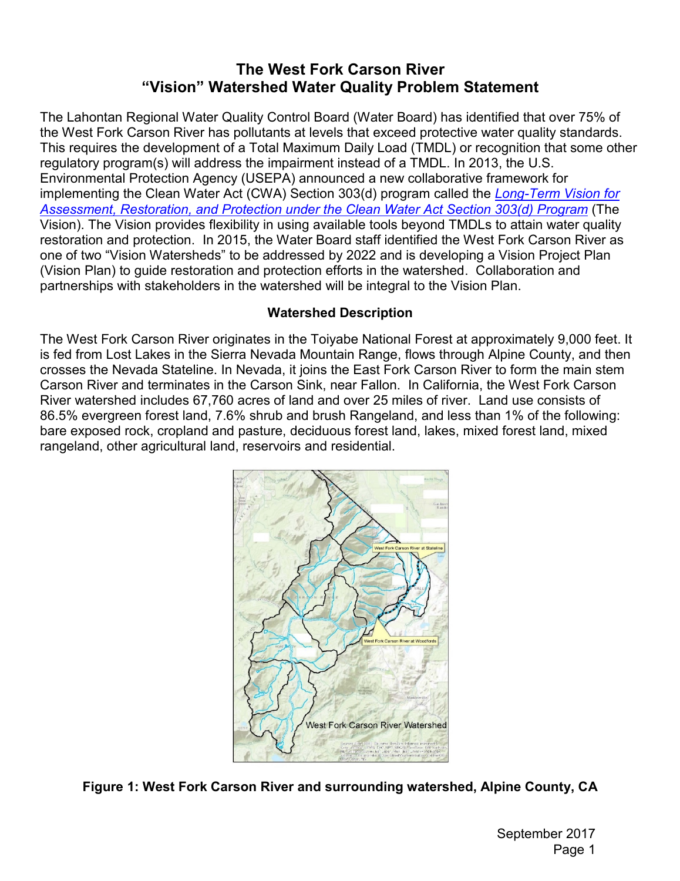# **The West Fork Carson River "Vision" Watershed Water Quality Problem Statement**

The Lahontan Regional Water Quality Control Board (Water Board) has identified that over 75% of the West Fork Carson River has pollutants at levels that exceed protective water quality standards. This requires the development of a Total Maximum Daily Load (TMDL) or recognition that some other regulatory program(s) will address the impairment instead of a TMDL. In 2013, the U.S. Environmental Protection Agency (USEPA) announced a new collaborative framework for implementing the Clean Water Act (CWA) Section 303(d) program called the *[Long-Term Vision for](https://www.epa.gov/sites/production/files/2015-07/documents/vision_303d_program_dec_2013.pdf)  [Assessment, Restoration, and Protection under the Clean Water Act Section 303\(d\) Program](https://www.epa.gov/sites/production/files/2015-07/documents/vision_303d_program_dec_2013.pdf)* (The Vision). The Vision provides flexibility in using available tools beyond TMDLs to attain water quality restoration and protection. In 2015, the Water Board staff identified the West Fork Carson River as one of two "Vision Watersheds" to be addressed by 2022 and is developing a Vision Project Plan (Vision Plan) to guide restoration and protection efforts in the watershed. Collaboration and partnerships with stakeholders in the watershed will be integral to the Vision Plan.

#### **Watershed Description**

The West Fork Carson River originates in the Toiyabe National Forest at approximately 9,000 feet. It is fed from Lost Lakes in the Sierra Nevada Mountain Range, flows through Alpine County, and then crosses the Nevada Stateline. In Nevada, it joins the East Fork Carson River to form the main stem Carson River and terminates in the Carson Sink, near Fallon. In California, the West Fork Carson River watershed includes 67,760 acres of land and over 25 miles of river. Land use consists of 86.5% evergreen forest land, 7.6% shrub and brush Rangeland, and less than 1% of the following: bare exposed rock, cropland and pasture, deciduous forest land, lakes, mixed forest land, mixed rangeland, other agricultural land, reservoirs and residential.



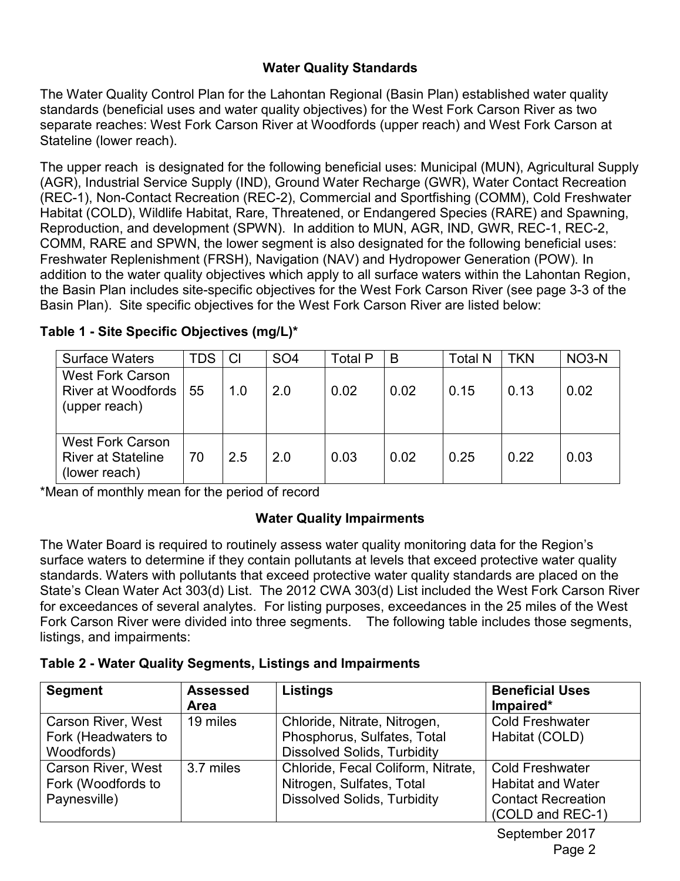## **Water Quality Standards**

The Water Quality Control Plan for the Lahontan Regional (Basin Plan) established water quality standards (beneficial uses and water quality objectives) for the West Fork Carson River as two separate reaches: West Fork Carson River at Woodfords (upper reach) and West Fork Carson at Stateline (lower reach).

The upper reach is designated for the following beneficial uses: Municipal (MUN), Agricultural Supply (AGR), Industrial Service Supply (IND), Ground Water Recharge (GWR), Water Contact Recreation (REC-1), Non-Contact Recreation (REC-2), Commercial and Sportfishing (COMM), Cold Freshwater Habitat (COLD), Wildlife Habitat, Rare, Threatened, or Endangered Species (RARE) and Spawning, Reproduction, and development (SPWN). In addition to MUN, AGR, IND, GWR, REC-1, REC-2, COMM, RARE and SPWN, the lower segment is also designated for the following beneficial uses: Freshwater Replenishment (FRSH), Navigation (NAV) and Hydropower Generation (POW). In addition to the water quality objectives which apply to all surface waters within the Lahontan Region, the Basin Plan includes site-specific objectives for the West Fork Carson River (see page 3-3 of the Basin Plan). Site specific objectives for the West Fork Carson River are listed below:

| <b>Surface Waters</b>                                                 | <b>TDS</b> | CI  | SO <sub>4</sub> | Total P | B    | <b>Total N</b> | <b>TKN</b> | NO <sub>3</sub> -N |
|-----------------------------------------------------------------------|------------|-----|-----------------|---------|------|----------------|------------|--------------------|
| <b>West Fork Carson</b><br><b>River at Woodfords</b><br>(upper reach) | 55         | 1.0 | 2.0             | 0.02    | 0.02 | 0.15           | 0.13       | 0.02               |
| <b>West Fork Carson</b><br><b>River at Stateline</b><br>(lower reach) | 70         | 2.5 | 2.0             | 0.03    | 0.02 | 0.25           | 0.22       | 0.03               |

**Table 1 - Site Specific Objectives (mg/L)\***

\*Mean of monthly mean for the period of record

## **Water Quality Impairments**

The Water Board is required to routinely assess water quality monitoring data for the Region's surface waters to determine if they contain pollutants at levels that exceed protective water quality standards. Waters with pollutants that exceed protective water quality standards are placed on the State's Clean Water Act 303(d) List. The 2012 CWA 303(d) List included the West Fork Carson River for exceedances of several analytes. For listing purposes, exceedances in the 25 miles of the West Fork Carson River were divided into three segments. The following table includes those segments, listings, and impairments:

| Table 2 - Water Quality Segments, Listings and Impairments |  |
|------------------------------------------------------------|--|
|------------------------------------------------------------|--|

| <b>Segment</b>            | <b>Assessed</b><br><b>Area</b> | Listings                           | <b>Beneficial Uses</b><br>Impaired* |
|---------------------------|--------------------------------|------------------------------------|-------------------------------------|
| <b>Carson River, West</b> | 19 miles                       | Chloride, Nitrate, Nitrogen,       | <b>Cold Freshwater</b>              |
| Fork (Headwaters to       |                                | Phosphorus, Sulfates, Total        | Habitat (COLD)                      |
| Woodfords)                |                                | <b>Dissolved Solids, Turbidity</b> |                                     |
| <b>Carson River, West</b> | 3.7 miles                      | Chloride, Fecal Coliform, Nitrate, | <b>Cold Freshwater</b>              |
| Fork (Woodfords to        |                                | Nitrogen, Sulfates, Total          | <b>Habitat and Water</b>            |
| Paynesville)              |                                | <b>Dissolved Solids, Turbidity</b> | <b>Contact Recreation</b>           |
|                           |                                |                                    | (COLD and REC-1)                    |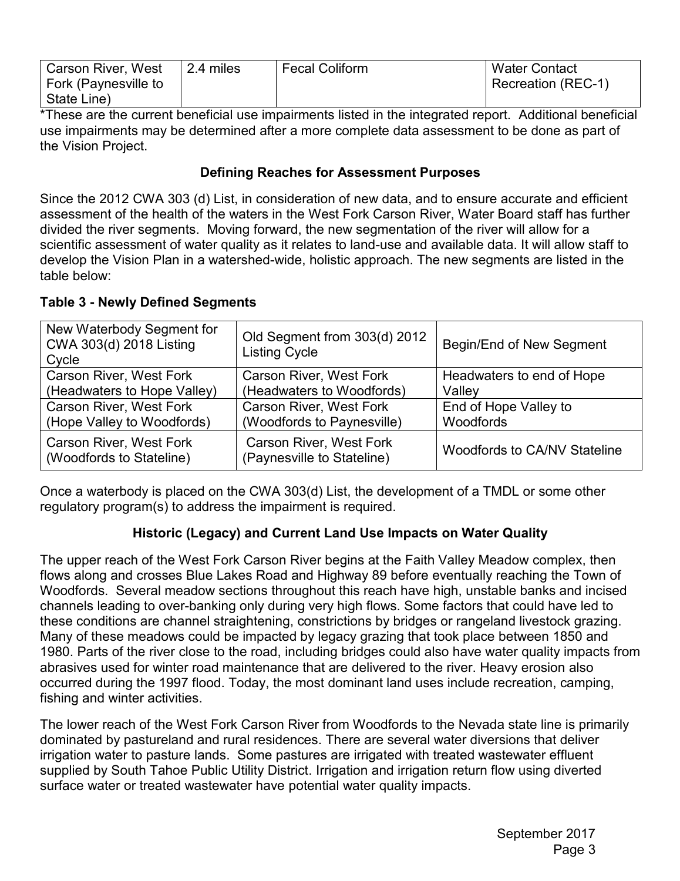| <b>Carson River, West</b> | 2.4 miles | <b>Fecal Coliform</b> | <b>Water Contact</b>      |
|---------------------------|-----------|-----------------------|---------------------------|
| Fork (Paynesville to      |           |                       | <b>Recreation (REC-1)</b> |
| State Line)               |           |                       |                           |

\*These are the current beneficial use impairments listed in the integrated report. Additional beneficial use impairments may be determined after a more complete data assessment to be done as part of the Vision Project.

### **Defining Reaches for Assessment Purposes**

Since the 2012 CWA 303 (d) List, in consideration of new data, and to ensure accurate and efficient assessment of the health of the waters in the West Fork Carson River, Water Board staff has further divided the river segments. Moving forward, the new segmentation of the river will allow for a scientific assessment of water quality as it relates to land-use and available data. It will allow staff to develop the Vision Plan in a watershed-wide, holistic approach. The new segments are listed in the table below:

| New Waterbody Segment for<br>CWA 303(d) 2018 Listing<br>Cycle | Old Segment from 303(d) 2012<br><b>Listing Cycle</b>         | Begin/End of New Segment     |
|---------------------------------------------------------------|--------------------------------------------------------------|------------------------------|
| <b>Carson River, West Fork</b>                                | <b>Carson River, West Fork</b>                               | Headwaters to end of Hope    |
| (Headwaters to Hope Valley)                                   | (Headwaters to Woodfords)                                    | Valley                       |
| <b>Carson River, West Fork</b>                                | <b>Carson River, West Fork</b>                               | End of Hope Valley to        |
| (Hope Valley to Woodfords)                                    | (Woodfords to Paynesville)                                   | Woodfords                    |
| <b>Carson River, West Fork</b><br>(Woodfords to Stateline)    | <b>Carson River, West Fork</b><br>(Paynesville to Stateline) | Woodfords to CA/NV Stateline |

#### **Table 3 - Newly Defined Segments**

Once a waterbody is placed on the CWA 303(d) List, the development of a TMDL or some other regulatory program(s) to address the impairment is required.

#### **Historic (Legacy) and Current Land Use Impacts on Water Quality**

The upper reach of the West Fork Carson River begins at the Faith Valley Meadow complex, then flows along and crosses Blue Lakes Road and Highway 89 before eventually reaching the Town of Woodfords. Several meadow sections throughout this reach have high, unstable banks and incised channels leading to over-banking only during very high flows. Some factors that could have led to these conditions are channel straightening, constrictions by bridges or rangeland livestock grazing. Many of these meadows could be impacted by legacy grazing that took place between 1850 and 1980. Parts of the river close to the road, including bridges could also have water quality impacts from abrasives used for winter road maintenance that are delivered to the river. Heavy erosion also occurred during the 1997 flood. Today, the most dominant land uses include recreation, camping, fishing and winter activities.

The lower reach of the West Fork Carson River from Woodfords to the Nevada state line is primarily dominated by pastureland and rural residences. There are several water diversions that deliver irrigation water to pasture lands. Some pastures are irrigated with treated wastewater effluent supplied by South Tahoe Public Utility District. Irrigation and irrigation return flow using diverted surface water or treated wastewater have potential water quality impacts.